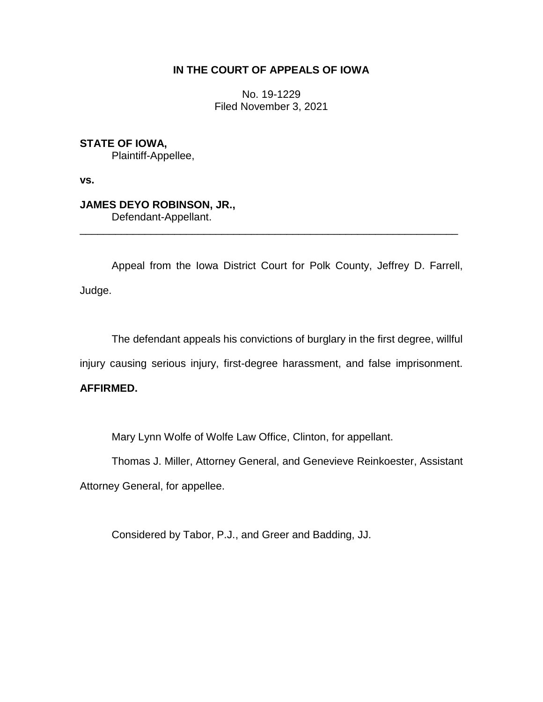# **IN THE COURT OF APPEALS OF IOWA**

No. 19-1229 Filed November 3, 2021

**STATE OF IOWA,** Plaintiff-Appellee,

**vs.**

**JAMES DEYO ROBINSON, JR.,** Defendant-Appellant.

Appeal from the Iowa District Court for Polk County, Jeffrey D. Farrell, Judge.

\_\_\_\_\_\_\_\_\_\_\_\_\_\_\_\_\_\_\_\_\_\_\_\_\_\_\_\_\_\_\_\_\_\_\_\_\_\_\_\_\_\_\_\_\_\_\_\_\_\_\_\_\_\_\_\_\_\_\_\_\_\_\_\_

The defendant appeals his convictions of burglary in the first degree, willful

injury causing serious injury, first-degree harassment, and false imprisonment.

# **AFFIRMED.**

Mary Lynn Wolfe of Wolfe Law Office, Clinton, for appellant.

Thomas J. Miller, Attorney General, and Genevieve Reinkoester, Assistant

Attorney General, for appellee.

Considered by Tabor, P.J., and Greer and Badding, JJ.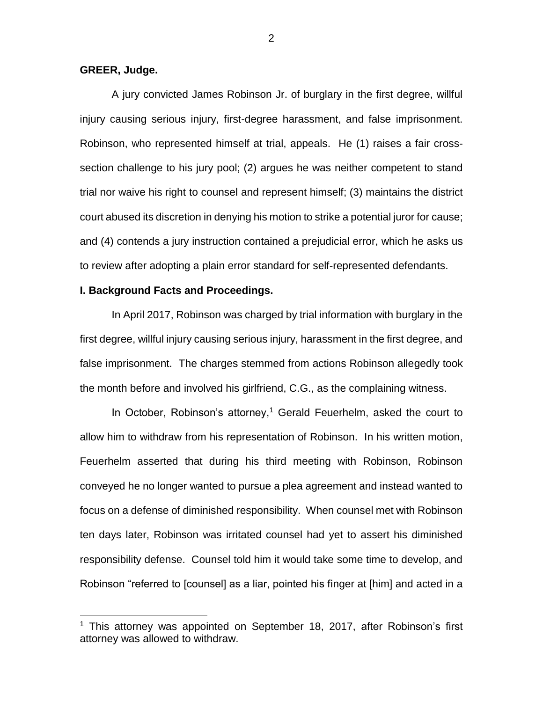# **GREER, Judge.**

 $\overline{a}$ 

A jury convicted James Robinson Jr. of burglary in the first degree, willful injury causing serious injury, first-degree harassment, and false imprisonment. Robinson, who represented himself at trial, appeals. He (1) raises a fair crosssection challenge to his jury pool; (2) argues he was neither competent to stand trial nor waive his right to counsel and represent himself; (3) maintains the district court abused its discretion in denying his motion to strike a potential juror for cause; and (4) contends a jury instruction contained a prejudicial error, which he asks us to review after adopting a plain error standard for self-represented defendants.

# **I. Background Facts and Proceedings.**

In April 2017, Robinson was charged by trial information with burglary in the first degree, willful injury causing serious injury, harassment in the first degree, and false imprisonment. The charges stemmed from actions Robinson allegedly took the month before and involved his girlfriend, C.G., as the complaining witness.

In October, Robinson's attorney, <sup>1</sup> Gerald Feuerhelm, asked the court to allow him to withdraw from his representation of Robinson. In his written motion, Feuerhelm asserted that during his third meeting with Robinson, Robinson conveyed he no longer wanted to pursue a plea agreement and instead wanted to focus on a defense of diminished responsibility. When counsel met with Robinson ten days later, Robinson was irritated counsel had yet to assert his diminished responsibility defense. Counsel told him it would take some time to develop, and Robinson "referred to [counsel] as a liar, pointed his finger at [him] and acted in a

<sup>&</sup>lt;sup>1</sup> This attorney was appointed on September 18, 2017, after Robinson's first attorney was allowed to withdraw.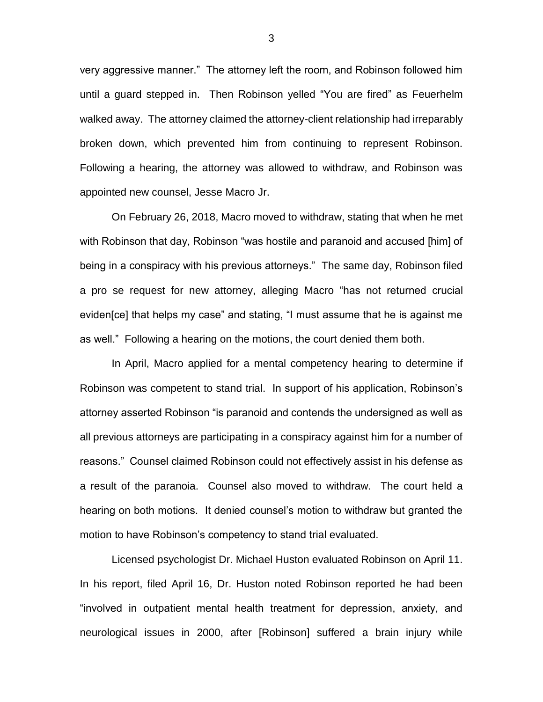very aggressive manner." The attorney left the room, and Robinson followed him until a guard stepped in. Then Robinson yelled "You are fired" as Feuerhelm walked away. The attorney claimed the attorney-client relationship had irreparably broken down, which prevented him from continuing to represent Robinson. Following a hearing, the attorney was allowed to withdraw, and Robinson was appointed new counsel, Jesse Macro Jr.

On February 26, 2018, Macro moved to withdraw, stating that when he met with Robinson that day, Robinson "was hostile and paranoid and accused [him] of being in a conspiracy with his previous attorneys." The same day, Robinson filed a pro se request for new attorney, alleging Macro "has not returned crucial eviden[ce] that helps my case" and stating, "I must assume that he is against me as well." Following a hearing on the motions, the court denied them both.

In April, Macro applied for a mental competency hearing to determine if Robinson was competent to stand trial. In support of his application, Robinson's attorney asserted Robinson "is paranoid and contends the undersigned as well as all previous attorneys are participating in a conspiracy against him for a number of reasons." Counsel claimed Robinson could not effectively assist in his defense as a result of the paranoia. Counsel also moved to withdraw. The court held a hearing on both motions. It denied counsel's motion to withdraw but granted the motion to have Robinson's competency to stand trial evaluated.

Licensed psychologist Dr. Michael Huston evaluated Robinson on April 11. In his report, filed April 16, Dr. Huston noted Robinson reported he had been "involved in outpatient mental health treatment for depression, anxiety, and neurological issues in 2000, after [Robinson] suffered a brain injury while

3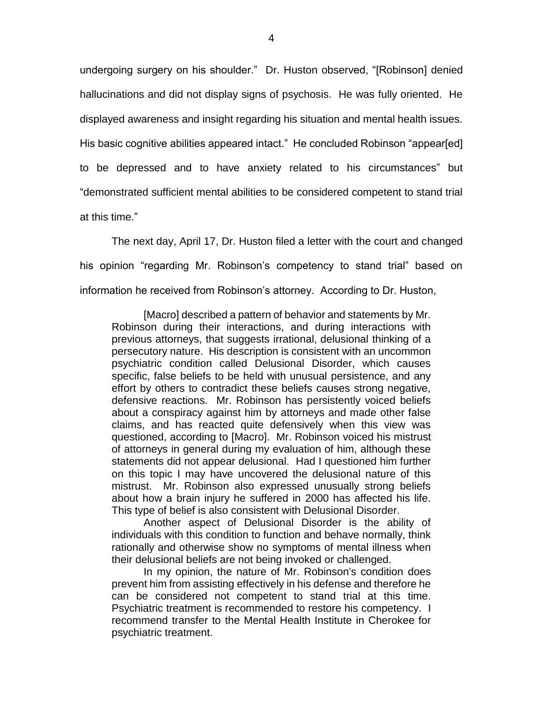undergoing surgery on his shoulder." Dr. Huston observed, "[Robinson] denied hallucinations and did not display signs of psychosis. He was fully oriented. He displayed awareness and insight regarding his situation and mental health issues. His basic cognitive abilities appeared intact." He concluded Robinson "appear[ed] to be depressed and to have anxiety related to his circumstances" but "demonstrated sufficient mental abilities to be considered competent to stand trial at this time."

The next day, April 17, Dr. Huston filed a letter with the court and changed his opinion "regarding Mr. Robinson's competency to stand trial" based on information he received from Robinson's attorney. According to Dr. Huston,

[Macro] described a pattern of behavior and statements by Mr. Robinson during their interactions, and during interactions with previous attorneys, that suggests irrational, delusional thinking of a persecutory nature. His description is consistent with an uncommon psychiatric condition called Delusional Disorder, which causes specific, false beliefs to be held with unusual persistence, and any effort by others to contradict these beliefs causes strong negative, defensive reactions. Mr. Robinson has persistently voiced beliefs about a conspiracy against him by attorneys and made other false claims, and has reacted quite defensively when this view was questioned, according to [Macro]. Mr. Robinson voiced his mistrust of attorneys in general during my evaluation of him, although these statements did not appear delusional. Had I questioned him further on this topic I may have uncovered the delusional nature of this mistrust. Mr. Robinson also expressed unusually strong beliefs about how a brain injury he suffered in 2000 has affected his life. This type of belief is also consistent with Delusional Disorder.

Another aspect of Delusional Disorder is the ability of individuals with this condition to function and behave normally, think rationally and otherwise show no symptoms of mental illness when their delusional beliefs are not being invoked or challenged.

In my opinion, the nature of Mr. Robinson's condition does prevent him from assisting effectively in his defense and therefore he can be considered not competent to stand trial at this time. Psychiatric treatment is recommended to restore his competency. I recommend transfer to the Mental Health Institute in Cherokee for psychiatric treatment.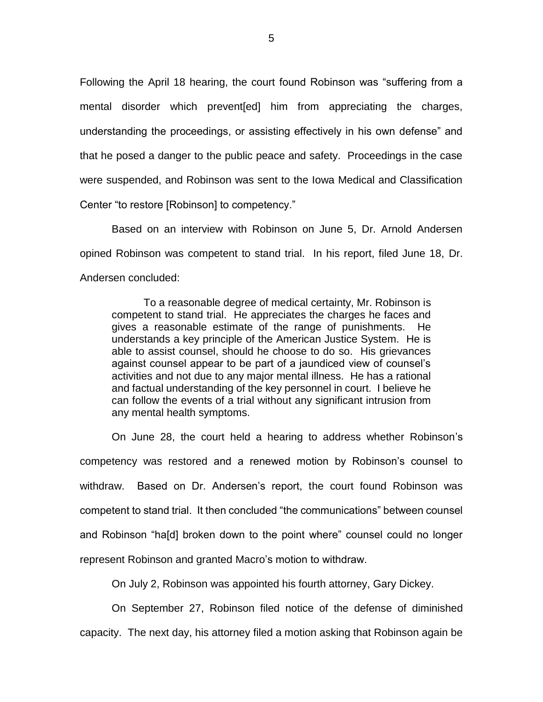Following the April 18 hearing, the court found Robinson was "suffering from a mental disorder which prevent[ed] him from appreciating the charges, understanding the proceedings, or assisting effectively in his own defense" and that he posed a danger to the public peace and safety. Proceedings in the case were suspended, and Robinson was sent to the Iowa Medical and Classification Center "to restore [Robinson] to competency."

Based on an interview with Robinson on June 5, Dr. Arnold Andersen opined Robinson was competent to stand trial. In his report, filed June 18, Dr. Andersen concluded:

To a reasonable degree of medical certainty, Mr. Robinson is competent to stand trial. He appreciates the charges he faces and gives a reasonable estimate of the range of punishments. He understands a key principle of the American Justice System. He is able to assist counsel, should he choose to do so. His grievances against counsel appear to be part of a jaundiced view of counsel's activities and not due to any major mental illness. He has a rational and factual understanding of the key personnel in court. I believe he can follow the events of a trial without any significant intrusion from any mental health symptoms.

On June 28, the court held a hearing to address whether Robinson's competency was restored and a renewed motion by Robinson's counsel to withdraw. Based on Dr. Andersen's report, the court found Robinson was competent to stand trial. It then concluded "the communications" between counsel and Robinson "ha[d] broken down to the point where" counsel could no longer represent Robinson and granted Macro's motion to withdraw.

On July 2, Robinson was appointed his fourth attorney, Gary Dickey.

On September 27, Robinson filed notice of the defense of diminished capacity. The next day, his attorney filed a motion asking that Robinson again be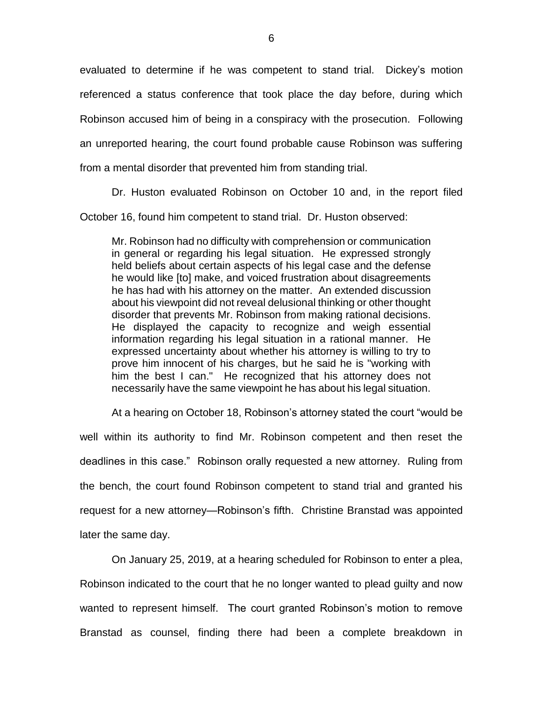evaluated to determine if he was competent to stand trial. Dickey's motion referenced a status conference that took place the day before, during which Robinson accused him of being in a conspiracy with the prosecution. Following an unreported hearing, the court found probable cause Robinson was suffering from a mental disorder that prevented him from standing trial.

Dr. Huston evaluated Robinson on October 10 and, in the report filed

October 16, found him competent to stand trial. Dr. Huston observed:

Mr. Robinson had no difficulty with comprehension or communication in general or regarding his legal situation. He expressed strongly held beliefs about certain aspects of his legal case and the defense he would like [to] make, and voiced frustration about disagreements he has had with his attorney on the matter. An extended discussion about his viewpoint did not reveal delusional thinking or other thought disorder that prevents Mr. Robinson from making rational decisions. He displayed the capacity to recognize and weigh essential information regarding his legal situation in a rational manner. He expressed uncertainty about whether his attorney is willing to try to prove him innocent of his charges, but he said he is "working with him the best I can." He recognized that his attorney does not necessarily have the same viewpoint he has about his legal situation.

At a hearing on October 18, Robinson's attorney stated the court "would be well within its authority to find Mr. Robinson competent and then reset the deadlines in this case." Robinson orally requested a new attorney. Ruling from the bench, the court found Robinson competent to stand trial and granted his request for a new attorney—Robinson's fifth. Christine Branstad was appointed later the same day.

On January 25, 2019, at a hearing scheduled for Robinson to enter a plea, Robinson indicated to the court that he no longer wanted to plead guilty and now wanted to represent himself. The court granted Robinson's motion to remove Branstad as counsel, finding there had been a complete breakdown in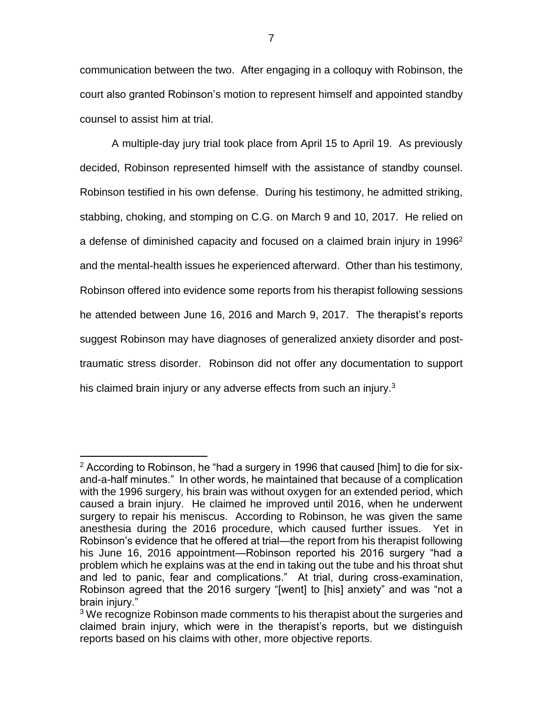communication between the two. After engaging in a colloquy with Robinson, the court also granted Robinson's motion to represent himself and appointed standby counsel to assist him at trial.

A multiple-day jury trial took place from April 15 to April 19. As previously decided, Robinson represented himself with the assistance of standby counsel. Robinson testified in his own defense. During his testimony, he admitted striking, stabbing, choking, and stomping on C.G. on March 9 and 10, 2017. He relied on a defense of diminished capacity and focused on a claimed brain injury in 1996<sup>2</sup> and the mental-health issues he experienced afterward. Other than his testimony, Robinson offered into evidence some reports from his therapist following sessions he attended between June 16, 2016 and March 9, 2017. The therapist's reports suggest Robinson may have diagnoses of generalized anxiety disorder and posttraumatic stress disorder. Robinson did not offer any documentation to support his claimed brain injury or any adverse effects from such an injury.<sup>3</sup>

 $\overline{a}$ 

 $2$  According to Robinson, he "had a surgery in 1996 that caused [him] to die for sixand-a-half minutes." In other words, he maintained that because of a complication with the 1996 surgery, his brain was without oxygen for an extended period, which caused a brain injury. He claimed he improved until 2016, when he underwent surgery to repair his meniscus. According to Robinson, he was given the same anesthesia during the 2016 procedure, which caused further issues. Yet in Robinson's evidence that he offered at trial—the report from his therapist following his June 16, 2016 appointment—Robinson reported his 2016 surgery "had a problem which he explains was at the end in taking out the tube and his throat shut and led to panic, fear and complications." At trial, during cross-examination, Robinson agreed that the 2016 surgery "[went] to [his] anxiety" and was "not a brain injury."

<sup>&</sup>lt;sup>3</sup> We recognize Robinson made comments to his therapist about the surgeries and claimed brain injury, which were in the therapist's reports, but we distinguish reports based on his claims with other, more objective reports.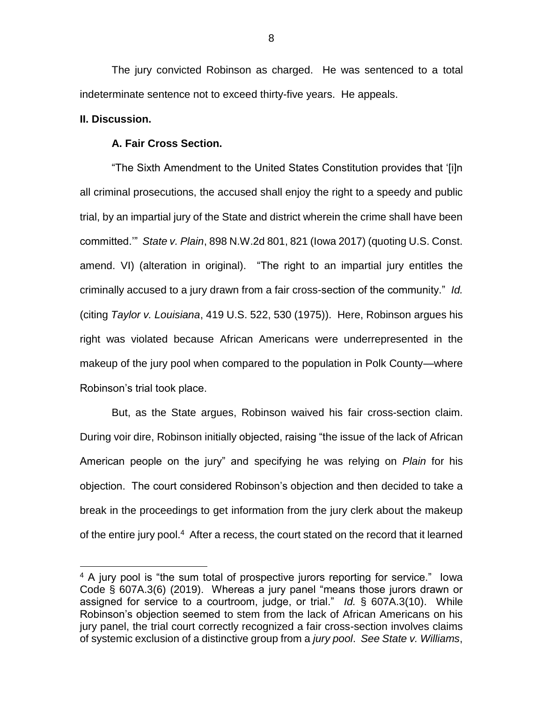The jury convicted Robinson as charged. He was sentenced to a total indeterminate sentence not to exceed thirty-five years. He appeals.

# **II. Discussion.**

 $\overline{a}$ 

# **A. Fair Cross Section.**

"The Sixth Amendment to the United States Constitution provides that '[i]n all criminal prosecutions, the accused shall enjoy the right to a speedy and public trial, by an impartial jury of the State and district wherein the crime shall have been committed.'" *State v. Plain*, 898 N.W.2d 801, 821 (Iowa 2017) (quoting U.S. Const. amend. VI) (alteration in original). "The right to an impartial jury entitles the criminally accused to a jury drawn from a fair cross-section of the community." *Id.*  (citing *Taylor v. Louisiana*, 419 U.S. 522, 530 (1975)). Here, Robinson argues his right was violated because African Americans were underrepresented in the makeup of the jury pool when compared to the population in Polk County—where Robinson's trial took place.

But, as the State argues, Robinson waived his fair cross-section claim. During voir dire, Robinson initially objected, raising "the issue of the lack of African American people on the jury" and specifying he was relying on *Plain* for his objection. The court considered Robinson's objection and then decided to take a break in the proceedings to get information from the jury clerk about the makeup of the entire jury pool.<sup>4</sup> After a recess, the court stated on the record that it learned

<sup>&</sup>lt;sup>4</sup> A jury pool is "the sum total of prospective jurors reporting for service." lowa Code § 607A.3(6) (2019). Whereas a jury panel "means those jurors drawn or assigned for service to a courtroom, judge, or trial." *Id.* § 607A.3(10). While Robinson's objection seemed to stem from the lack of African Americans on his jury panel, the trial court correctly recognized a fair cross-section involves claims of systemic exclusion of a distinctive group from a *jury pool*. *See State v. Williams*,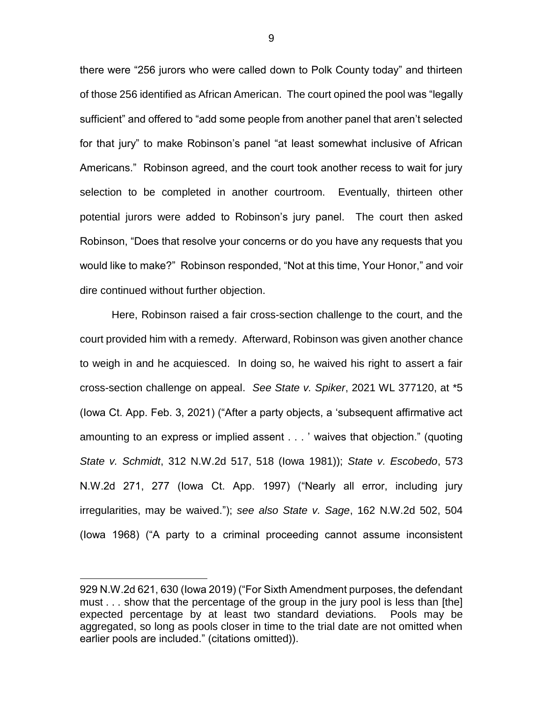there were "256 jurors who were called down to Polk County today" and thirteen of those 256 identified as African American. The court opined the pool was "legally sufficient" and offered to "add some people from another panel that aren't selected for that jury" to make Robinson's panel "at least somewhat inclusive of African Americans." Robinson agreed, and the court took another recess to wait for jury selection to be completed in another courtroom. Eventually, thirteen other potential jurors were added to Robinson's jury panel. The court then asked Robinson, "Does that resolve your concerns or do you have any requests that you would like to make?" Robinson responded, "Not at this time, Your Honor," and voir dire continued without further objection.

Here, Robinson raised a fair cross-section challenge to the court, and the court provided him with a remedy. Afterward, Robinson was given another chance to weigh in and he acquiesced. In doing so, he waived his right to assert a fair cross-section challenge on appeal. *See State v. Spiker*, 2021 WL 377120, at \*5 (Iowa Ct. App. Feb. 3, 2021) ("After a party objects, a 'subsequent affirmative act amounting to an express or implied assent . . . ' waives that objection." (quoting *State v. Schmidt*, 312 N.W.2d 517, 518 (Iowa 1981)); *State v. Escobedo*, 573 N.W.2d 271, 277 (Iowa Ct. App. 1997) ("Nearly all error, including jury irregularities, may be waived."); *see also State v. Sage*, 162 N.W.2d 502, 504 (Iowa 1968) ("A party to a criminal proceeding cannot assume inconsistent

 $\overline{a}$ 

<sup>929</sup> N.W.2d 621, 630 (Iowa 2019) ("For Sixth Amendment purposes, the defendant must . . . show that the percentage of the group in the jury pool is less than [the] expected percentage by at least two standard deviations. Pools may be aggregated, so long as pools closer in time to the trial date are not omitted when earlier pools are included." (citations omitted)).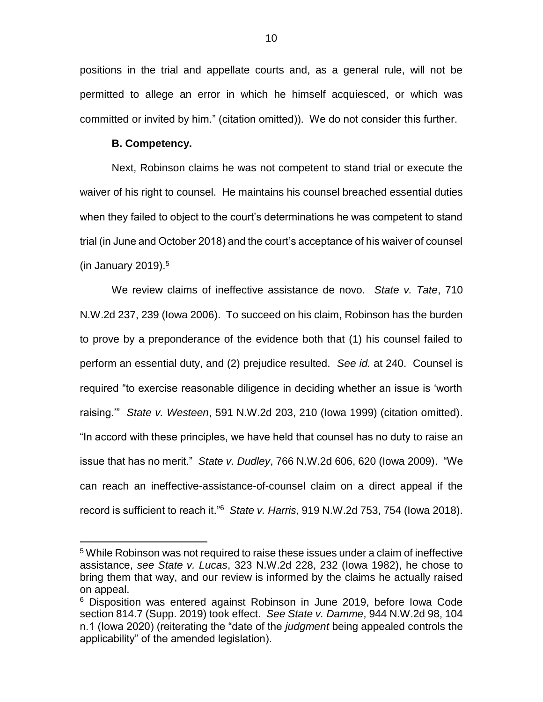positions in the trial and appellate courts and, as a general rule, will not be permitted to allege an error in which he himself acquiesced, or which was committed or invited by him." (citation omitted)). We do not consider this further.

### **B. Competency.**

 $\overline{a}$ 

Next, Robinson claims he was not competent to stand trial or execute the waiver of his right to counsel. He maintains his counsel breached essential duties when they failed to object to the court's determinations he was competent to stand trial (in June and October 2018) and the court's acceptance of his waiver of counsel (in January 2019). $5$ 

We review claims of ineffective assistance de novo. *State v. Tate*, 710 N.W.2d 237, 239 (Iowa 2006). To succeed on his claim, Robinson has the burden to prove by a preponderance of the evidence both that (1) his counsel failed to perform an essential duty, and (2) prejudice resulted. *See id.* at 240. Counsel is required "to exercise reasonable diligence in deciding whether an issue is 'worth raising.'" *State v. Westeen*, 591 N.W.2d 203, 210 (Iowa 1999) (citation omitted). "In accord with these principles, we have held that counsel has no duty to raise an issue that has no merit." *State v. Dudley*, 766 N.W.2d 606, 620 (Iowa 2009). "We can reach an ineffective-assistance-of-counsel claim on a direct appeal if the record is sufficient to reach it."<sup>6</sup> *State v. Harris*, 919 N.W.2d 753, 754 (Iowa 2018).

<sup>5</sup> While Robinson was not required to raise these issues under a claim of ineffective assistance, *see State v. Lucas*, 323 N.W.2d 228, 232 (Iowa 1982), he chose to bring them that way, and our review is informed by the claims he actually raised on appeal.

<sup>6</sup> Disposition was entered against Robinson in June 2019, before Iowa Code section 814.7 (Supp. 2019) took effect. *See State v. Damme*, 944 N.W.2d 98, 104 n.1 (Iowa 2020) (reiterating the "date of the *judgment* being appealed controls the applicability" of the amended legislation).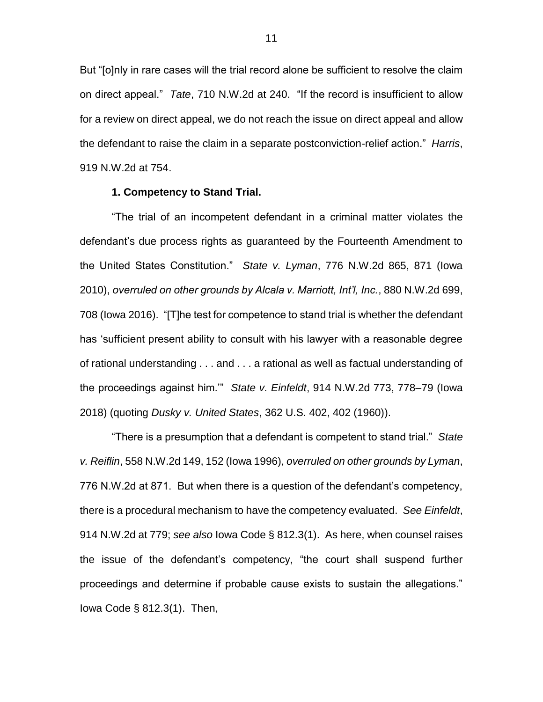But "[o]nly in rare cases will the trial record alone be sufficient to resolve the claim on direct appeal." *Tate*, 710 N.W.2d at 240. "If the record is insufficient to allow for a review on direct appeal, we do not reach the issue on direct appeal and allow the defendant to raise the claim in a separate postconviction-relief action." *Harris*, 919 N.W.2d at 754.

### **1. Competency to Stand Trial.**

"The trial of an incompetent defendant in a criminal matter violates the defendant's due process rights as guaranteed by the Fourteenth Amendment to the United States Constitution." *State v. Lyman*, 776 N.W.2d 865, 871 (Iowa 2010), *overruled on other grounds by Alcala v. Marriott, Int'l, Inc.*, 880 N.W.2d 699, 708 (Iowa 2016). "[T]he test for competence to stand trial is whether the defendant has 'sufficient present ability to consult with his lawyer with a reasonable degree of rational understanding . . . and . . . a rational as well as factual understanding of the proceedings against him.'" *State v. Einfeldt*, 914 N.W.2d 773, 778–79 (Iowa 2018) (quoting *Dusky v. United States*, 362 U.S. 402, 402 (1960)).

"There is a presumption that a defendant is competent to stand trial." *State v. Reiflin*, 558 N.W.2d 149, 152 (Iowa 1996), *overruled on other grounds by Lyman*, 776 N.W.2d at 871. But when there is a question of the defendant's competency, there is a procedural mechanism to have the competency evaluated. *See Einfeldt*, 914 N.W.2d at 779; *see also* Iowa Code § 812.3(1). As here, when counsel raises the issue of the defendant's competency, "the court shall suspend further proceedings and determine if probable cause exists to sustain the allegations." Iowa Code § 812.3(1). Then,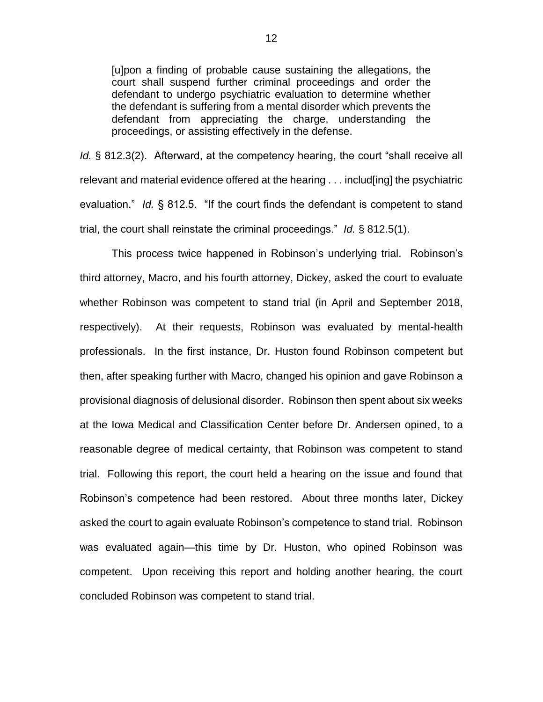[u]pon a finding of probable cause sustaining the allegations, the court shall suspend further criminal proceedings and order the defendant to undergo psychiatric evaluation to determine whether the defendant is suffering from a mental disorder which prevents the defendant from appreciating the charge, understanding the proceedings, or assisting effectively in the defense.

*Id.* § 812.3(2). Afterward, at the competency hearing, the court "shall receive all relevant and material evidence offered at the hearing . . . includ[ing] the psychiatric evaluation." *Id.* § 812.5. "If the court finds the defendant is competent to stand trial, the court shall reinstate the criminal proceedings." *Id.* § 812.5(1).

This process twice happened in Robinson's underlying trial. Robinson's third attorney, Macro, and his fourth attorney, Dickey, asked the court to evaluate whether Robinson was competent to stand trial (in April and September 2018, respectively). At their requests, Robinson was evaluated by mental-health professionals. In the first instance, Dr. Huston found Robinson competent but then, after speaking further with Macro, changed his opinion and gave Robinson a provisional diagnosis of delusional disorder. Robinson then spent about six weeks at the Iowa Medical and Classification Center before Dr. Andersen opined, to a reasonable degree of medical certainty, that Robinson was competent to stand trial. Following this report, the court held a hearing on the issue and found that Robinson's competence had been restored. About three months later, Dickey asked the court to again evaluate Robinson's competence to stand trial. Robinson was evaluated again—this time by Dr. Huston, who opined Robinson was competent. Upon receiving this report and holding another hearing, the court concluded Robinson was competent to stand trial.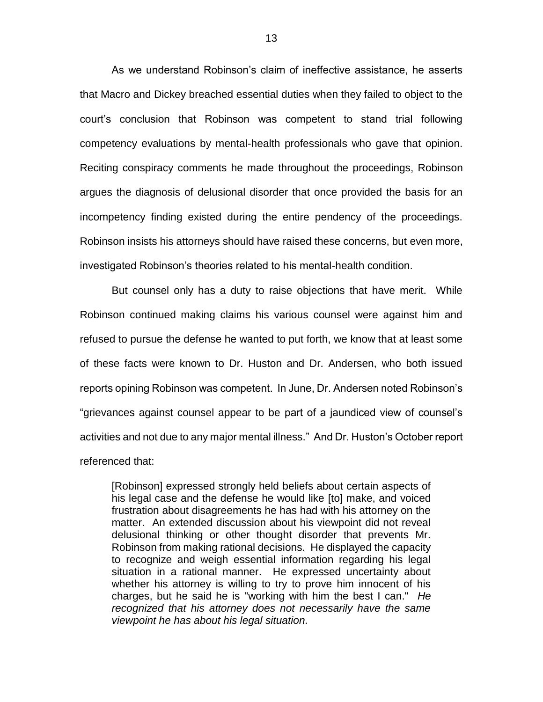As we understand Robinson's claim of ineffective assistance, he asserts that Macro and Dickey breached essential duties when they failed to object to the court's conclusion that Robinson was competent to stand trial following competency evaluations by mental-health professionals who gave that opinion. Reciting conspiracy comments he made throughout the proceedings, Robinson argues the diagnosis of delusional disorder that once provided the basis for an incompetency finding existed during the entire pendency of the proceedings. Robinson insists his attorneys should have raised these concerns, but even more, investigated Robinson's theories related to his mental-health condition.

But counsel only has a duty to raise objections that have merit. While Robinson continued making claims his various counsel were against him and refused to pursue the defense he wanted to put forth, we know that at least some of these facts were known to Dr. Huston and Dr. Andersen, who both issued reports opining Robinson was competent. In June, Dr. Andersen noted Robinson's "grievances against counsel appear to be part of a jaundiced view of counsel's activities and not due to any major mental illness." And Dr. Huston's October report referenced that:

[Robinson] expressed strongly held beliefs about certain aspects of his legal case and the defense he would like [to] make, and voiced frustration about disagreements he has had with his attorney on the matter. An extended discussion about his viewpoint did not reveal delusional thinking or other thought disorder that prevents Mr. Robinson from making rational decisions. He displayed the capacity to recognize and weigh essential information regarding his legal situation in a rational manner. He expressed uncertainty about whether his attorney is willing to try to prove him innocent of his charges, but he said he is "working with him the best I can." *He recognized that his attorney does not necessarily have the same viewpoint he has about his legal situation.*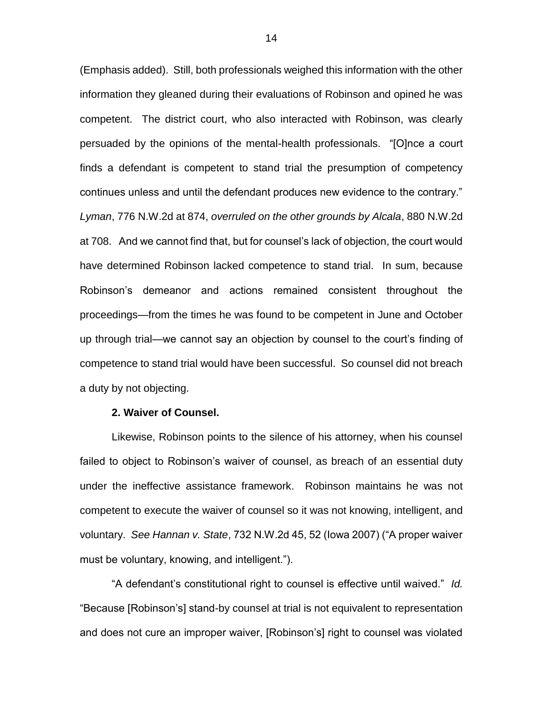(Emphasis added). Still, both professionals weighed this information with the other information they gleaned during their evaluations of Robinson and opined he was competent. The district court, who also interacted with Robinson, was clearly persuaded by the opinions of the mental-health professionals. "[O]nce a court finds a defendant is competent to stand trial the presumption of competency continues unless and until the defendant produces new evidence to the contrary." *Lyman*, 776 N.W.2d at 874, *overruled on the other grounds by Alcala*, 880 N.W.2d at 708. And we cannot find that, but for counsel's lack of objection, the court would have determined Robinson lacked competence to stand trial. In sum, because Robinson's demeanor and actions remained consistent throughout the proceedings—from the times he was found to be competent in June and October up through trial—we cannot say an objection by counsel to the court's finding of competence to stand trial would have been successful. So counsel did not breach a duty by not objecting.

#### **2. Waiver of Counsel.**

Likewise, Robinson points to the silence of his attorney, when his counsel failed to object to Robinson's waiver of counsel, as breach of an essential duty under the ineffective assistance framework. Robinson maintains he was not competent to execute the waiver of counsel so it was not knowing, intelligent, and voluntary. *See Hannan v. State*, 732 N.W.2d 45, 52 (Iowa 2007) ("A proper waiver must be voluntary, knowing, and intelligent.").

"A defendant's constitutional right to counsel is effective until waived." *Id.* "Because [Robinson's] stand-by counsel at trial is not equivalent to representation and does not cure an improper waiver, [Robinson's] right to counsel was violated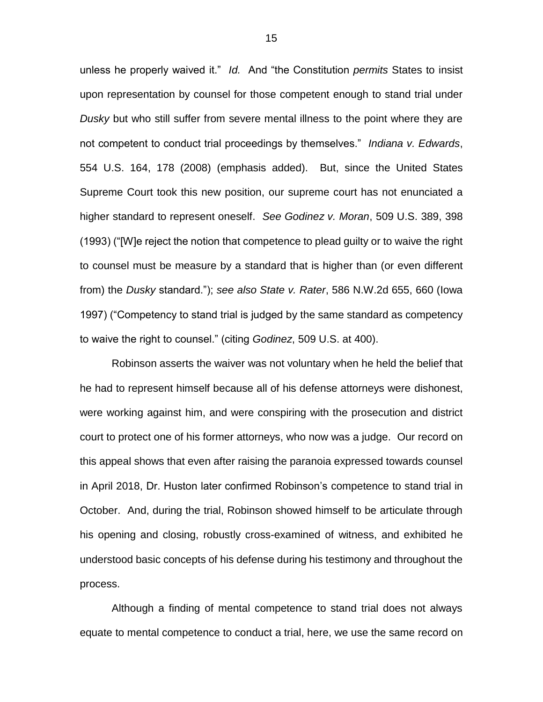unless he properly waived it." *Id.* And "the Constitution *permits* States to insist upon representation by counsel for those competent enough to stand trial under *Dusky* but who still suffer from severe mental illness to the point where they are not competent to conduct trial proceedings by themselves." *Indiana v. Edwards*, 554 U.S. 164, 178 (2008) (emphasis added). But, since the United States Supreme Court took this new position, our supreme court has not enunciated a higher standard to represent oneself. *See Godinez v. Moran*, 509 U.S. 389, 398 (1993) ("[W]e reject the notion that competence to plead guilty or to waive the right to counsel must be measure by a standard that is higher than (or even different from) the *Dusky* standard."); *see also State v. Rater*, 586 N.W.2d 655, 660 (Iowa 1997) ("Competency to stand trial is judged by the same standard as competency to waive the right to counsel." (citing *Godinez*, 509 U.S. at 400).

Robinson asserts the waiver was not voluntary when he held the belief that he had to represent himself because all of his defense attorneys were dishonest, were working against him, and were conspiring with the prosecution and district court to protect one of his former attorneys, who now was a judge. Our record on this appeal shows that even after raising the paranoia expressed towards counsel in April 2018, Dr. Huston later confirmed Robinson's competence to stand trial in October. And, during the trial, Robinson showed himself to be articulate through his opening and closing, robustly cross-examined of witness, and exhibited he understood basic concepts of his defense during his testimony and throughout the process.

Although a finding of mental competence to stand trial does not always equate to mental competence to conduct a trial, here, we use the same record on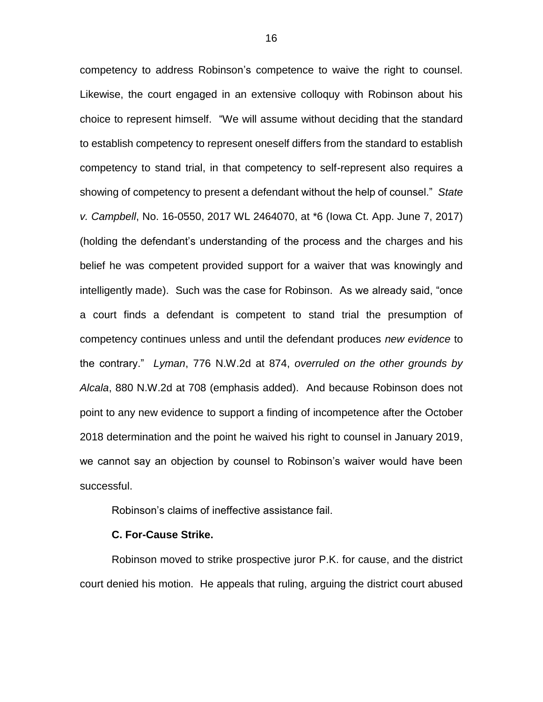competency to address Robinson's competence to waive the right to counsel. Likewise, the court engaged in an extensive colloquy with Robinson about his choice to represent himself. "We will assume without deciding that the standard to establish competency to represent oneself differs from the standard to establish competency to stand trial, in that competency to self-represent also requires a showing of competency to present a defendant without the help of counsel." *State v. Campbell*, No. 16-0550, 2017 WL 2464070, at \*6 (Iowa Ct. App. June 7, 2017) (holding the defendant's understanding of the process and the charges and his belief he was competent provided support for a waiver that was knowingly and intelligently made). Such was the case for Robinson. As we already said, "once a court finds a defendant is competent to stand trial the presumption of competency continues unless and until the defendant produces *new evidence* to the contrary." *Lyman*, 776 N.W.2d at 874, *overruled on the other grounds by Alcala*, 880 N.W.2d at 708 (emphasis added). And because Robinson does not point to any new evidence to support a finding of incompetence after the October 2018 determination and the point he waived his right to counsel in January 2019, we cannot say an objection by counsel to Robinson's waiver would have been successful.

Robinson's claims of ineffective assistance fail.

#### **C. For-Cause Strike.**

Robinson moved to strike prospective juror P.K. for cause, and the district court denied his motion. He appeals that ruling, arguing the district court abused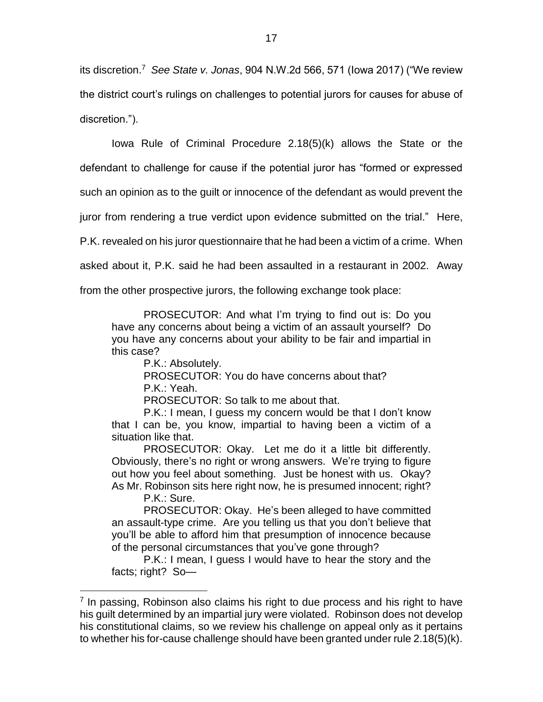its discretion.<sup>7</sup> *See State v. Jonas*, 904 N.W.2d 566, 571 (Iowa 2017) ("We review the district court's rulings on challenges to potential jurors for causes for abuse of discretion.").

Iowa Rule of Criminal Procedure 2.18(5)(k) allows the State or the defendant to challenge for cause if the potential juror has "formed or expressed

such an opinion as to the guilt or innocence of the defendant as would prevent the

juror from rendering a true verdict upon evidence submitted on the trial." Here,

P.K. revealed on his juror questionnaire that he had been a victim of a crime. When

asked about it, P.K. said he had been assaulted in a restaurant in 2002. Away

from the other prospective jurors, the following exchange took place:

PROSECUTOR: And what I'm trying to find out is: Do you have any concerns about being a victim of an assault yourself? Do you have any concerns about your ability to be fair and impartial in this case?

P.K.: Absolutely.

PROSECUTOR: You do have concerns about that? P.K.: Yeah.

PROSECUTOR: So talk to me about that.

P.K.: I mean, I guess my concern would be that I don't know that I can be, you know, impartial to having been a victim of a situation like that.

PROSECUTOR: Okay. Let me do it a little bit differently. Obviously, there's no right or wrong answers. We're trying to figure out how you feel about something. Just be honest with us. Okay? As Mr. Robinson sits here right now, he is presumed innocent; right?

P.K.: Sure.

 $\overline{a}$ 

PROSECUTOR: Okay. He's been alleged to have committed an assault-type crime. Are you telling us that you don't believe that you'll be able to afford him that presumption of innocence because of the personal circumstances that you've gone through?

P.K.: I mean, I guess I would have to hear the story and the facts; right? So—

<sup>&</sup>lt;sup>7</sup> In passing, Robinson also claims his right to due process and his right to have his guilt determined by an impartial jury were violated. Robinson does not develop his constitutional claims, so we review his challenge on appeal only as it pertains to whether his for-cause challenge should have been granted under rule 2.18(5)(k).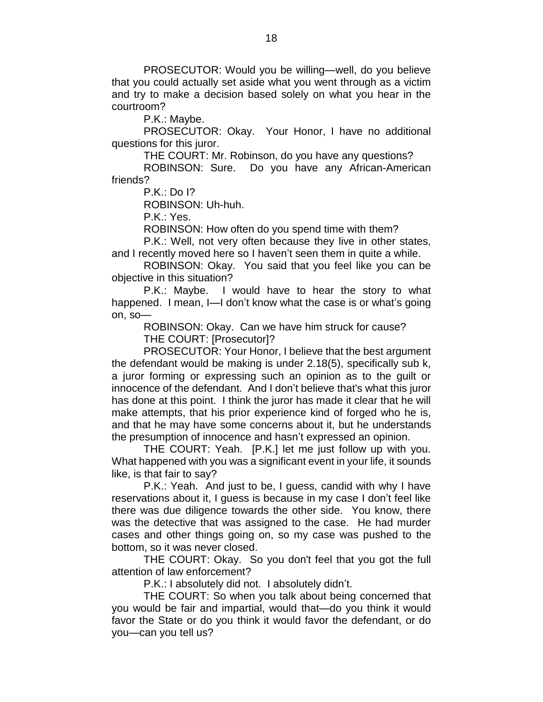PROSECUTOR: Would you be willing—well, do you believe that you could actually set aside what you went through as a victim and try to make a decision based solely on what you hear in the courtroom?

P.K.: Maybe.

PROSECUTOR: Okay. Your Honor, I have no additional questions for this juror.

THE COURT: Mr. Robinson, do you have any questions?

ROBINSON: Sure. Do you have any African-American friends?

P.K.: Do I?

ROBINSON: Uh-huh.

P.K.: Yes.

ROBINSON: How often do you spend time with them?

P.K.: Well, not very often because they live in other states, and I recently moved here so I haven't seen them in quite a while.

ROBINSON: Okay. You said that you feel like you can be objective in this situation?

P.K.: Maybe. I would have to hear the story to what happened. I mean, I-I don't know what the case is or what's going on, so—

ROBINSON: Okay. Can we have him struck for cause? THE COURT: [Prosecutor]?

PROSECUTOR: Your Honor, I believe that the best argument the defendant would be making is under 2.18(5), specifically sub k, a juror forming or expressing such an opinion as to the guilt or innocence of the defendant. And I don't believe that's what this juror has done at this point. I think the juror has made it clear that he will make attempts, that his prior experience kind of forged who he is, and that he may have some concerns about it, but he understands the presumption of innocence and hasn't expressed an opinion.

THE COURT: Yeah. [P.K.] let me just follow up with you. What happened with you was a significant event in your life, it sounds like, is that fair to say?

P.K.: Yeah. And just to be, I guess, candid with why I have reservations about it, I guess is because in my case I don't feel like there was due diligence towards the other side. You know, there was the detective that was assigned to the case. He had murder cases and other things going on, so my case was pushed to the bottom, so it was never closed.

THE COURT: Okay. So you don't feel that you got the full attention of law enforcement?

P.K.: I absolutely did not. I absolutely didn't.

THE COURT: So when you talk about being concerned that you would be fair and impartial, would that—do you think it would favor the State or do you think it would favor the defendant, or do you—can you tell us?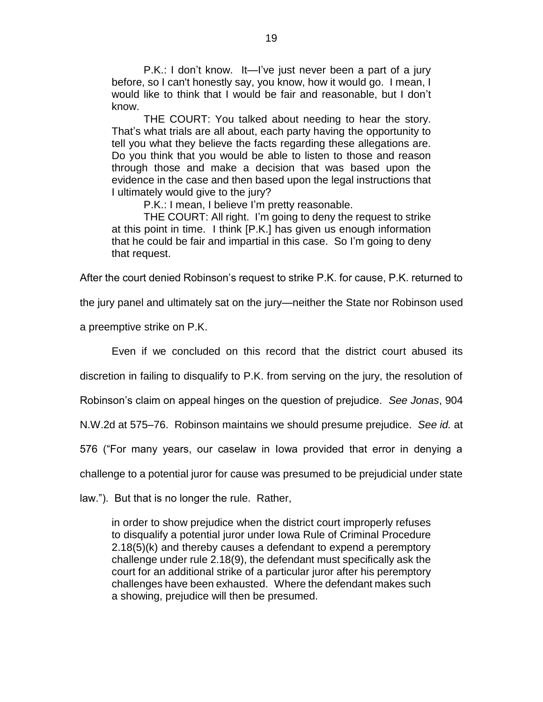P.K.: I don't know. It—I've just never been a part of a jury before, so I can't honestly say, you know, how it would go. I mean, I would like to think that I would be fair and reasonable, but I don't know.

THE COURT: You talked about needing to hear the story. That's what trials are all about, each party having the opportunity to tell you what they believe the facts regarding these allegations are. Do you think that you would be able to listen to those and reason through those and make a decision that was based upon the evidence in the case and then based upon the legal instructions that I ultimately would give to the jury?

P.K.: I mean, I believe I'm pretty reasonable.

THE COURT: All right. I'm going to deny the request to strike at this point in time. I think [P.K.] has given us enough information that he could be fair and impartial in this case. So I'm going to deny that request.

After the court denied Robinson's request to strike P.K. for cause, P.K. returned to

the jury panel and ultimately sat on the jury—neither the State nor Robinson used

a preemptive strike on P.K.

Even if we concluded on this record that the district court abused its

discretion in failing to disqualify to P.K. from serving on the jury, the resolution of

Robinson's claim on appeal hinges on the question of prejudice. *See Jonas*, 904

N.W.2d at 575–76. Robinson maintains we should presume prejudice. *See id.* at

576 ("For many years, our caselaw in Iowa provided that error in denying a

challenge to a potential juror for cause was presumed to be prejudicial under state

law."). But that is no longer the rule. Rather,

in order to show prejudice when the district court improperly refuses to disqualify a potential juror under Iowa Rule of Criminal Procedure 2.18(5)(k) and thereby causes a defendant to expend a peremptory challenge under rule 2.18(9), the defendant must specifically ask the court for an additional strike of a particular juror after his peremptory challenges have been exhausted. Where the defendant makes such a showing, prejudice will then be presumed.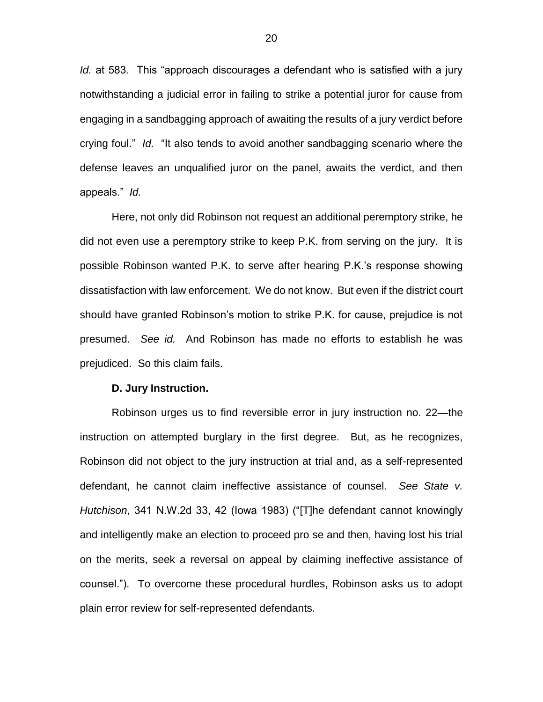*Id.* at 583. This "approach discourages a defendant who is satisfied with a jury notwithstanding a judicial error in failing to strike a potential juror for cause from engaging in a sandbagging approach of awaiting the results of a jury verdict before crying foul." *Id.* "It also tends to avoid another sandbagging scenario where the defense leaves an unqualified juror on the panel, awaits the verdict, and then appeals." *Id.* 

Here, not only did Robinson not request an additional peremptory strike, he did not even use a peremptory strike to keep P.K. from serving on the jury. It is possible Robinson wanted P.K. to serve after hearing P.K.'s response showing dissatisfaction with law enforcement. We do not know. But even if the district court should have granted Robinson's motion to strike P.K. for cause, prejudice is not presumed. *See id.* And Robinson has made no efforts to establish he was prejudiced. So this claim fails.

#### **D. Jury Instruction.**

Robinson urges us to find reversible error in jury instruction no. 22—the instruction on attempted burglary in the first degree. But, as he recognizes, Robinson did not object to the jury instruction at trial and, as a self-represented defendant, he cannot claim ineffective assistance of counsel. *See State v. Hutchison*, 341 N.W.2d 33, 42 (Iowa 1983) ("[T]he defendant cannot knowingly and intelligently make an election to proceed pro se and then, having lost his trial on the merits, seek a reversal on appeal by claiming ineffective assistance of counsel."). To overcome these procedural hurdles, Robinson asks us to adopt plain error review for self-represented defendants.